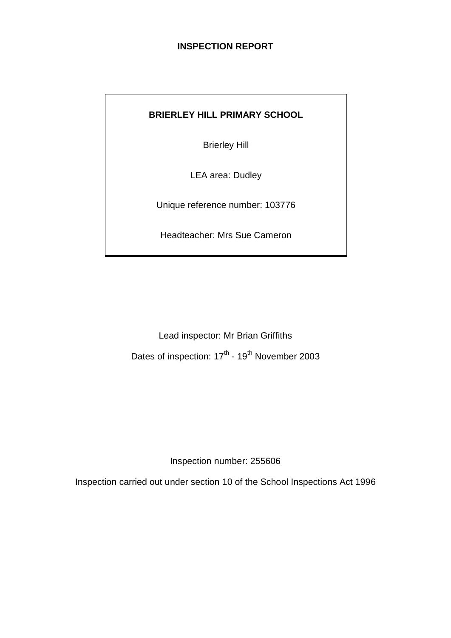## **INSPECTION REPORT**

## **BRIERLEY HILL PRIMARY SCHOOL**

Brierley Hill

LEA area: Dudley

Unique reference number: 103776

Headteacher: Mrs Sue Cameron

Lead inspector: Mr Brian Griffiths Dates of inspection: 17<sup>th</sup> - 19<sup>th</sup> November 2003

Inspection number: 255606

Inspection carried out under section 10 of the School Inspections Act 1996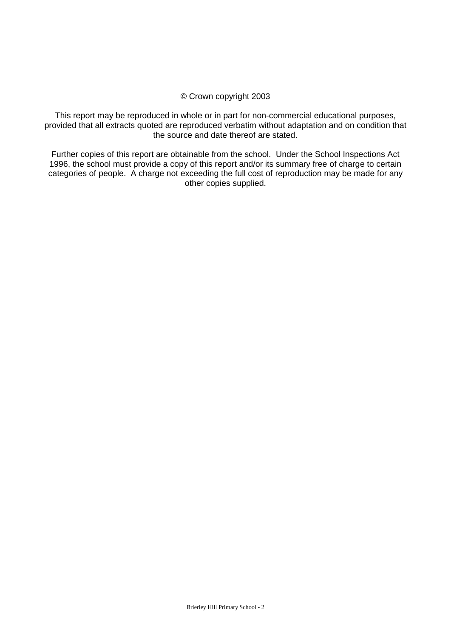#### © Crown copyright 2003

This report may be reproduced in whole or in part for non-commercial educational purposes, provided that all extracts quoted are reproduced verbatim without adaptation and on condition that the source and date thereof are stated.

Further copies of this report are obtainable from the school. Under the School Inspections Act 1996, the school must provide a copy of this report and/or its summary free of charge to certain categories of people. A charge not exceeding the full cost of reproduction may be made for any other copies supplied.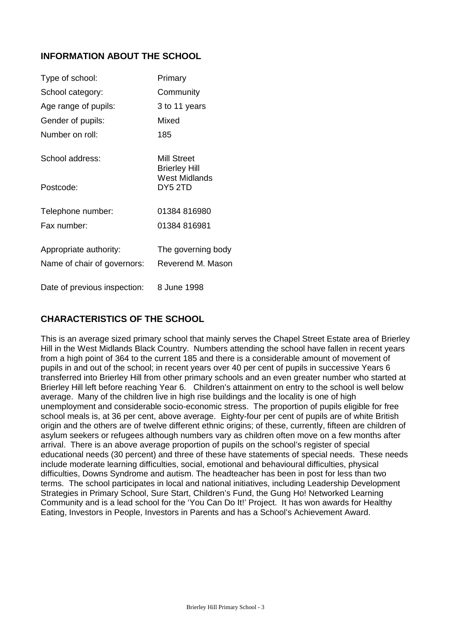## **INFORMATION ABOUT THE SCHOOL**

| Type of school:              | Primary                             |
|------------------------------|-------------------------------------|
| School category:             | Community                           |
| Age range of pupils:         | 3 to 11 years                       |
| Gender of pupils:            | Mixed                               |
| Number on roll:              | 185                                 |
| School address:              | Mill Street<br><b>Brierley Hill</b> |
| Postcode:                    | <b>West Midlands</b><br>DY5 2TD     |
| Telephone number:            | 01384 816980                        |
| Fax number:                  | 01384 816981                        |
| Appropriate authority:       | The governing body                  |
| Name of chair of governors:  | Reverend M. Mason                   |
| Date of previous inspection: | 8 June 1998                         |

## **CHARACTERISTICS OF THE SCHOOL**

This is an average sized primary school that mainly serves the Chapel Street Estate area of Brierley Hill in the West Midlands Black Country. Numbers attending the school have fallen in recent years from a high point of 364 to the current 185 and there is a considerable amount of movement of pupils in and out of the school; in recent years over 40 per cent of pupils in successive Years 6 transferred into Brierley Hill from other primary schools and an even greater number who started at Brierley Hill left before reaching Year 6. Children's attainment on entry to the school is well below average. Many of the children live in high rise buildings and the locality is one of high unemployment and considerable socio-economic stress. The proportion of pupils eligible for free school meals is, at 36 per cent, above average. Eighty-four per cent of pupils are of white British origin and the others are of twelve different ethnic origins; of these, currently, fifteen are children of asylum seekers or refugees although numbers vary as children often move on a few months after arrival. There is an above average proportion of pupils on the school's register of special educational needs (30 percent) and three of these have statements of special needs. These needs include moderate learning difficulties, social, emotional and behavioural difficulties, physical difficulties, Downs Syndrome and autism. The headteacher has been in post for less than two terms. The school participates in local and national initiatives, including Leadership Development Strategies in Primary School, Sure Start, Children's Fund, the Gung Ho! Networked Learning Community and is a lead school for the 'You Can Do It!' Project. It has won awards for Healthy Eating, Investors in People, Investors in Parents and has a School's Achievement Award.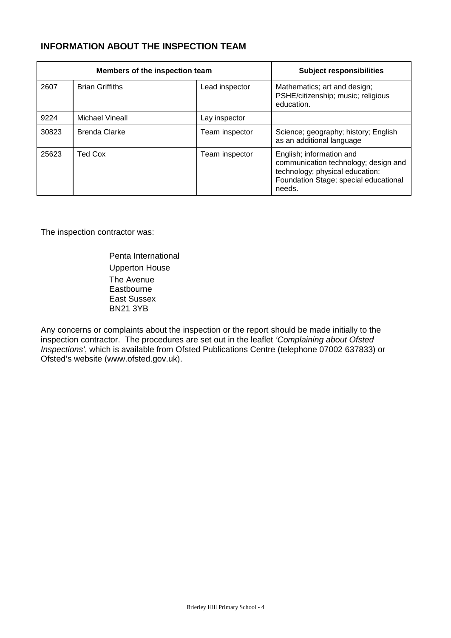## **INFORMATION ABOUT THE INSPECTION TEAM**

|       | Members of the inspection team | <b>Subject responsibilities</b> |                                                                                                                                                        |
|-------|--------------------------------|---------------------------------|--------------------------------------------------------------------------------------------------------------------------------------------------------|
| 2607  | <b>Brian Griffiths</b>         | Lead inspector                  | Mathematics; art and design;<br>PSHE/citizenship; music; religious<br>education.                                                                       |
| 9224  | Michael Vineall                | Lay inspector                   |                                                                                                                                                        |
| 30823 | <b>Brenda Clarke</b>           | Team inspector                  | Science; geography; history; English<br>as an additional language                                                                                      |
| 25623 | Ted Cox                        | Team inspector                  | English; information and<br>communication technology; design and<br>technology; physical education;<br>Foundation Stage; special educational<br>needs. |

The inspection contractor was:

Penta International Upperton House The Avenue **Eastbourne** East Sussex BN21 3YB

Any concerns or complaints about the inspection or the report should be made initially to the inspection contractor. The procedures are set out in the leaflet *'Complaining about Ofsted Inspections'*, which is available from Ofsted Publications Centre (telephone 07002 637833) or Ofsted's website (www.ofsted.gov.uk).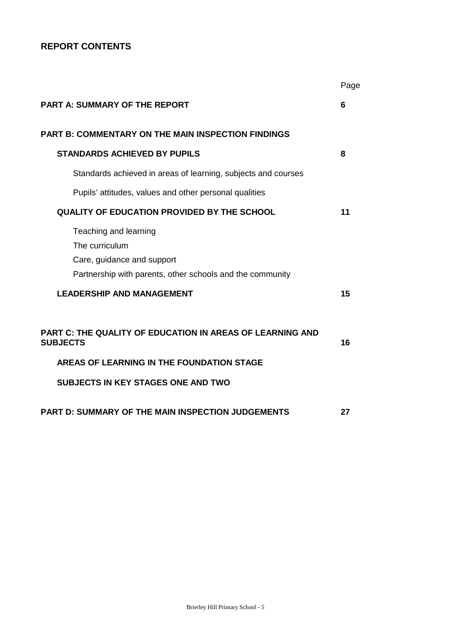## **REPORT CONTENTS**

|                                                                                                                                    | Page |
|------------------------------------------------------------------------------------------------------------------------------------|------|
| <b>PART A: SUMMARY OF THE REPORT</b>                                                                                               | 6    |
| <b>PART B: COMMENTARY ON THE MAIN INSPECTION FINDINGS</b>                                                                          |      |
| <b>STANDARDS ACHIEVED BY PUPILS</b>                                                                                                | 8    |
| Standards achieved in areas of learning, subjects and courses                                                                      |      |
| Pupils' attitudes, values and other personal qualities                                                                             |      |
| <b>QUALITY OF EDUCATION PROVIDED BY THE SCHOOL</b>                                                                                 | 11   |
| Teaching and learning<br>The curriculum<br>Care, guidance and support<br>Partnership with parents, other schools and the community |      |
| <b>LEADERSHIP AND MANAGEMENT</b>                                                                                                   | 15   |
| PART C: THE QUALITY OF EDUCATION IN AREAS OF LEARNING AND<br><b>SUBJECTS</b>                                                       | 16   |
| AREAS OF LEARNING IN THE FOUNDATION STAGE                                                                                          |      |
| <b>SUBJECTS IN KEY STAGES ONE AND TWO</b>                                                                                          |      |
| <b>PART D: SUMMARY OF THE MAIN INSPECTION JUDGEMENTS</b>                                                                           | 27   |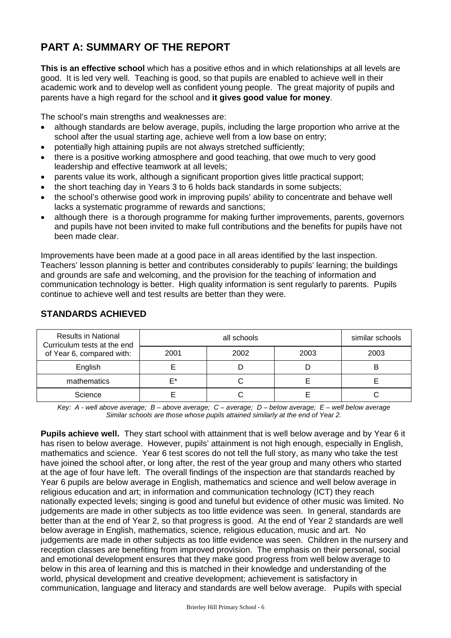# **PART A: SUMMARY OF THE REPORT**

**This is an effective school** which has a positive ethos and in which relationships at all levels are good. It is led very well. Teaching is good, so that pupils are enabled to achieve well in their academic work and to develop well as confident young people. The great majority of pupils and parents have a high regard for the school and **it gives good value for money**.

The school's main strengths and weaknesses are:

- although standards are below average, pupils, including the large proportion who arrive at the school after the usual starting age, achieve well from a low base on entry;
- potentially high attaining pupils are not always stretched sufficiently;
- there is a positive working atmosphere and good teaching, that owe much to very good leadership and effective teamwork at all levels;
- parents value its work, although a significant proportion gives little practical support;
- the short teaching day in Years 3 to 6 holds back standards in some subjects;
- the school's otherwise good work in improving pupils' ability to concentrate and behave well lacks a systematic programme of rewards and sanctions;
- although there is a thorough programme for making further improvements, parents, governors and pupils have not been invited to make full contributions and the benefits for pupils have not been made clear.

Improvements have been made at a good pace in all areas identified by the last inspection. Teachers' lesson planning is better and contributes considerably to pupils' learning; the buildings and grounds are safe and welcoming, and the provision for the teaching of information and communication technology is better. High quality information is sent regularly to parents. Pupils continue to achieve well and test results are better than they were.

| <b>Results in National</b><br>Curriculum tests at the end<br>of Year 6, compared with: |      | similar schools |      |      |
|----------------------------------------------------------------------------------------|------|-----------------|------|------|
|                                                                                        | 2001 | 2002            | 2003 | 2003 |
| English                                                                                |      |                 |      | B    |
| mathematics                                                                            | ⊏∗   |                 |      |      |
| Science                                                                                |      |                 |      |      |

## **STANDARDS ACHIEVED**

*Key: A - well above average; B – above average; C – average; D – below average; E – well below average Similar schools are those whose pupils attained similarly at the end of Year 2.*

**Pupils achieve well.** They start school with attainment that is well below average and by Year 6 it has risen to below average.However, pupils' attainment is not high enough, especially in English, mathematics and science. Year 6 test scores do not tell the full story, as many who take the test have joined the school after, or long after, the rest of the year group and many others who started at the age of four have left. The overall findings of the inspection are that standards reached by Year 6 pupils are below average in English, mathematics and science and well below average in religious education and art; in information and communication technology (ICT) they reach nationally expected levels; singing is good and tuneful but evidence of other music was limited. No judgements are made in other subjects as too little evidence was seen. In general, standards are better than at the end of Year 2, so that progress is good. At the end of Year 2 standards are well below average in English, mathematics, science, religious education, music and art. No judgements are made in other subjects as too little evidence was seen. Children in the nursery and reception classes are benefiting from improved provision. The emphasis on their personal, social and emotional development ensures that they make good progress from well below average to below in this area of learning and this is matched in their knowledge and understanding of the world, physical development and creative development; achievement is satisfactory in communication, language and literacy and standards are well below average. Pupils with special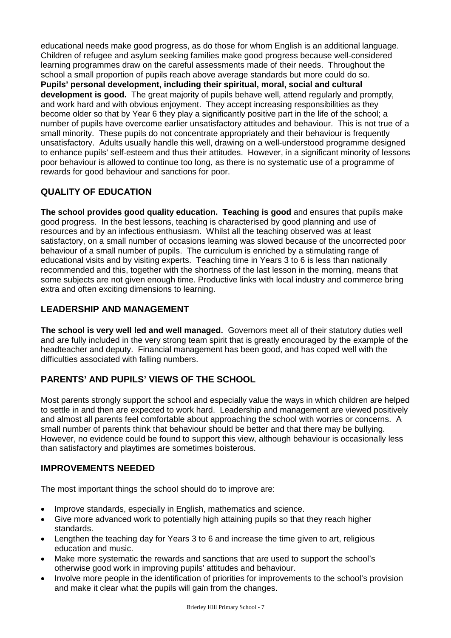educational needs make good progress, as do those for whom English is an additional language. Children of refugee and asylum seeking families make good progress because well-considered learning programmes draw on the careful assessments made of their needs. Throughout the school a small proportion of pupils reach above average standards but more could do so. **Pupils' personal development, including their spiritual, moral, social and cultural development is good.** The great majority of pupils behave well, attend regularly and promptly, and work hard and with obvious enjoyment. They accept increasing responsibilities as they become older so that by Year 6 they play a significantly positive part in the life of the school; a number of pupils have overcome earlier unsatisfactory attitudes and behaviour. This is not true of a small minority. These pupils do not concentrate appropriately and their behaviour is frequently unsatisfactory. Adults usually handle this well, drawing on a well-understood programme designed to enhance pupils' self-esteem and thus their attitudes. However, in a significant minority of lessons poor behaviour is allowed to continue too long, as there is no systematic use of a programme of rewards for good behaviour and sanctions for poor.

## **QUALITY OF EDUCATION**

**The school provides good quality education. Teaching is good** and ensures that pupils make good progress. In the best lessons, teaching is characterised by good planning and use of resources and by an infectious enthusiasm. Whilst all the teaching observed was at least satisfactory, on a small number of occasions learning was slowed because of the uncorrected poor behaviour of a small number of pupils. The curriculum is enriched by a stimulating range of educational visits and by visiting experts. Teaching time in Years 3 to 6 is less than nationally recommended and this, together with the shortness of the last lesson in the morning, means that some subjects are not given enough time. Productive links with local industry and commerce bring extra and often exciting dimensions to learning.

## **LEADERSHIP AND MANAGEMENT**

**The school is very well led and well managed.** Governors meet all of their statutory duties well and are fully included in the very strong team spirit that is greatly encouraged by the example of the headteacher and deputy. Financial management has been good, and has coped well with the difficulties associated with falling numbers.

## **PARENTS' AND PUPILS' VIEWS OF THE SCHOOL**

Most parents strongly support the school and especially value the ways in which children are helped to settle in and then are expected to work hard. Leadership and management are viewed positively and almost all parents feel comfortable about approaching the school with worries or concerns. A small number of parents think that behaviour should be better and that there may be bullying. However, no evidence could be found to support this view, although behaviour is occasionally less than satisfactory and playtimes are sometimes boisterous.

## **IMPROVEMENTS NEEDED**

The most important things the school should do to improve are:

- Improve standards, especially in English, mathematics and science.
- Give more advanced work to potentially high attaining pupils so that they reach higher standards.
- Lengthen the teaching day for Years 3 to 6 and increase the time given to art, religious education and music.
- Make more systematic the rewards and sanctions that are used to support the school's otherwise good work in improving pupils' attitudes and behaviour.
- Involve more people in the identification of priorities for improvements to the school's provision and make it clear what the pupils will gain from the changes.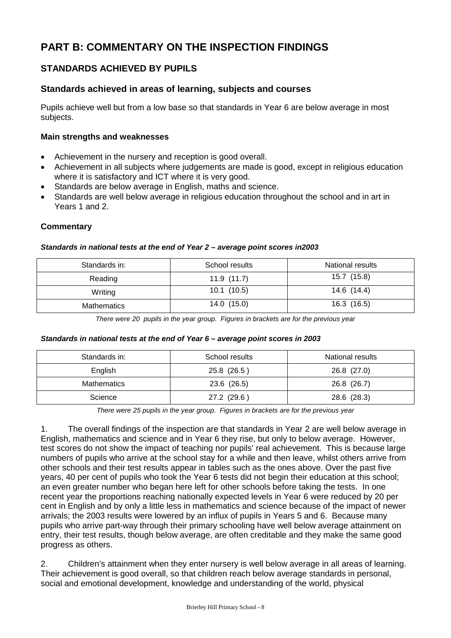# **PART B: COMMENTARY ON THE INSPECTION FINDINGS**

## **STANDARDS ACHIEVED BY PUPILS**

## **Standards achieved in areas of learning, subjects and courses**

Pupils achieve well but from a low base so that standards in Year 6 are below average in most subjects.

#### **Main strengths and weaknesses**

- Achievement in the nursery and reception is good overall.
- Achievement in all subjects where judgements are made is good, except in religious education where it is satisfactory and ICT where it is very good.
- Standards are below average in English, maths and science.
- Standards are well below average in religious education throughout the school and in art in Years 1 and 2.

#### **Commentary**

#### *Standards in national tests at the end of Year 2 – average point scores in2003*

| Standards in: | School results | <b>National results</b> |
|---------------|----------------|-------------------------|
| Reading       | 11.9(11.7)     | 15.7(15.8)              |
| Writing       | 10.1(10.5)     | 14.6 (14.4)             |
| Mathematics   | 14.0(15.0)     | 16.3(16.5)              |

*There were 20 pupils in the year group. Figures in brackets are for the previous year* 

#### *Standards in national tests at the end of Year 6 – average point scores in 2003*

| Standards in:      | School results | <b>National results</b> |
|--------------------|----------------|-------------------------|
| English            | 25.8 (26.5)    | 26.8 (27.0)             |
| <b>Mathematics</b> | 23.6 (26.5)    | 26.8 (26.7)             |
| Science            | 27.2 (29.6)    | 28.6 (28.3)             |

*There were 25 pupils in the year group. Figures in brackets are for the previous year*

1. The overall findings of the inspection are that standards in Year 2 are well below average in English, mathematics and science and in Year 6 they rise, but only to below average. However, test scores do not show the impact of teaching nor pupils' real achievement. This is because large numbers of pupils who arrive at the school stay for a while and then leave, whilst others arrive from other schools and their test results appear in tables such as the ones above. Over the past five years, 40 per cent of pupils who took the Year 6 tests did not begin their education at this school; an even greater number who began here left for other schools before taking the tests. In one recent year the proportions reaching nationally expected levels in Year 6 were reduced by 20 per cent in English and by only a little less in mathematics and science because of the impact of newer arrivals; the 2003 results were lowered by an influx of pupils in Years 5 and 6. Because many pupils who arrive part-way through their primary schooling have well below average attainment on entry, their test results, though below average, are often creditable and they make the same good progress as others.

2. Children's attainment when they enter nursery is well below average in all areas of learning. Their achievement is good overall, so that children reach below average standards in personal, social and emotional development, knowledge and understanding of the world, physical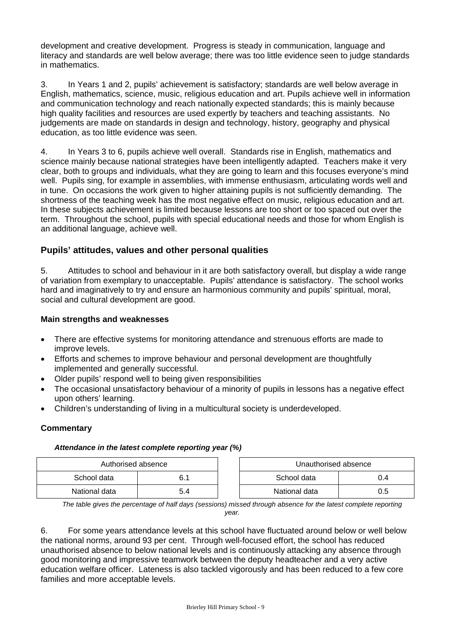development and creative development. Progress is steady in communication, language and literacy and standards are well below average; there was too little evidence seen to judge standards in mathematics.

3. In Years 1 and 2, pupils' achievement is satisfactory; standards are well below average in English, mathematics, science, music, religious education and art. Pupils achieve well in information and communication technology and reach nationally expected standards; this is mainly because high quality facilities and resources are used expertly by teachers and teaching assistants. No judgements are made on standards in design and technology, history, geography and physical education, as too little evidence was seen.

4. In Years 3 to 6, pupils achieve well overall. Standards rise in English, mathematics and science mainly because national strategies have been intelligently adapted. Teachers make it very clear, both to groups and individuals, what they are going to learn and this focuses everyone's mind well. Pupils sing, for example in assemblies, with immense enthusiasm, articulating words well and in tune. On occasions the work given to higher attaining pupils is not sufficiently demanding. The shortness of the teaching week has the most negative effect on music, religious education and art. In these subjects achievement is limited because lessons are too short or too spaced out over the term. Throughout the school, pupils with special educational needs and those for whom English is an additional language, achieve well.

## **Pupils' attitudes, values and other personal qualities**

5. Attitudes to school and behaviour in it are both satisfactory overall, but display a wide range of variation from exemplary to unacceptable. Pupils' attendance is satisfactory. The school works hard and imaginatively to try and ensure an harmonious community and pupils' spiritual, moral, social and cultural development are good.

#### **Main strengths and weaknesses**

- There are effective systems for monitoring attendance and strenuous efforts are made to improve levels.
- Efforts and schemes to improve behaviour and personal development are thoughtfully implemented and generally successful.
- Older pupils' respond well to being given responsibilities
- The occasional unsatisfactory behaviour of a minority of pupils in lessons has a negative effect upon others' learning.
- Children's understanding of living in a multicultural society is underdeveloped.

#### **Commentary**

#### *Attendance in the latest complete reporting year (%)*

| Authorised absence |     |  | Unauthorised absence |     |
|--------------------|-----|--|----------------------|-----|
| School data        |     |  | School data          | 0.4 |
| National data      | 5.4 |  | National data        | 0.5 |

*The table gives the percentage of half days (sessions) missed through absence for the latest complete reporting year.*

6. For some years attendance levels at this school have fluctuated around below or well below the national norms, around 93 per cent. Through well-focused effort, the school has reduced unauthorised absence to below national levels and is continuously attacking any absence through good monitoring and impressive teamwork between the deputy headteacher and a very active education welfare officer. Lateness is also tackled vigorously and has been reduced to a few core families and more acceptable levels.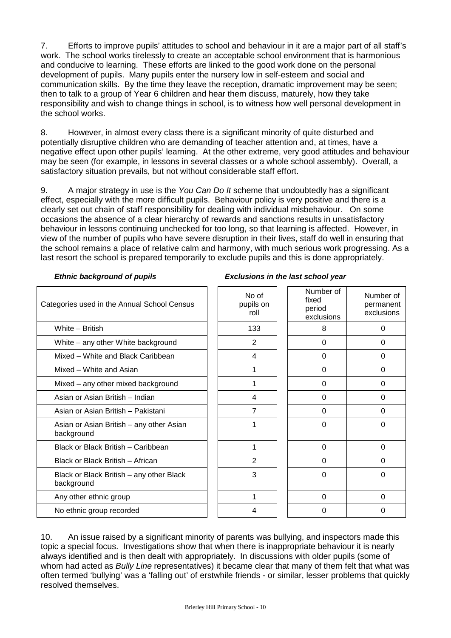7. Efforts to improve pupils' attitudes to school and behaviour in it are a major part of all staff's work. The school works tirelessly to create an acceptable school environment that is harmonious and conducive to learning. These efforts are linked to the good work done on the personal development of pupils. Many pupils enter the nursery low in self-esteem and social and communication skills. By the time they leave the reception, dramatic improvement may be seen; then to talk to a group of Year 6 children and hear them discuss, maturely, how they take responsibility and wish to change things in school, is to witness how well personal development in the school works.

8. However, in almost every class there is a significant minority of quite disturbed and potentially disruptive children who are demanding of teacher attention and, at times, have a negative effect upon other pupils' learning. At the other extreme, very good attitudes and behaviour may be seen (for example, in lessons in several classes or a whole school assembly). Overall, a satisfactory situation prevails, but not without considerable staff effort.

9. A major strategy in use is the *You Can Do It* scheme that undoubtedly has a significant effect, especially with the more difficult pupils. Behaviour policy is very positive and there is a clearly set out chain of staff responsibility for dealing with individual misbehaviour. On some occasions the absence of a clear hierarchy of rewards and sanctions results in unsatisfactory behaviour in lessons continuing unchecked for too long, so that learning is affected. However, in view of the number of pupils who have severe disruption in their lives, staff do well in ensuring that the school remains a place of relative calm and harmony, with much serious work progressing. As a last resort the school is prepared temporarily to exclude pupils and this is done appropriately.

| Categories used in the Annual School Census            | No of<br>pupils on<br>roll | Number of<br>fixed<br>period<br>exclusions | Number of<br>permanent<br>exclusions |
|--------------------------------------------------------|----------------------------|--------------------------------------------|--------------------------------------|
| White - British                                        | 133                        | 8                                          | 0                                    |
| White - any other White background                     | $\overline{2}$             | 0                                          | 0                                    |
| Mixed – White and Black Caribbean                      | 4                          | 0                                          | 0                                    |
| Mixed - White and Asian                                | 1                          | 0                                          | $\Omega$                             |
| Mixed – any other mixed background                     |                            | 0                                          | 0                                    |
| Asian or Asian British - Indian                        | 4                          | 0                                          | $\Omega$                             |
| Asian or Asian British - Pakistani                     | 7                          | 0                                          | $\Omega$                             |
| Asian or Asian British - any other Asian<br>background |                            | 0                                          | 0                                    |
| Black or Black British - Caribbean                     | 1                          | 0                                          | 0                                    |
| Black or Black British - African                       | 2                          | 0                                          | $\Omega$                             |
| Black or Black British – any other Black<br>background | 3                          | 0                                          | 0                                    |
| Any other ethnic group                                 | 1                          | 0                                          | 0                                    |
| No ethnic group recorded                               | 4                          | 0                                          | $\Omega$                             |

#### *Ethnic background of pupils Exclusions in the last school year*

10. An issue raised by a significant minority of parents was bullying, and inspectors made this topic a special focus. Investigations show that when there is inappropriate behaviour it is nearly always identified and is then dealt with appropriately. In discussions with older pupils (some of whom had acted as *Bully Line* representatives) it became clear that many of them felt that what was often termed 'bullying' was a 'falling out' of erstwhile friends - or similar, lesser problems that quickly resolved themselves.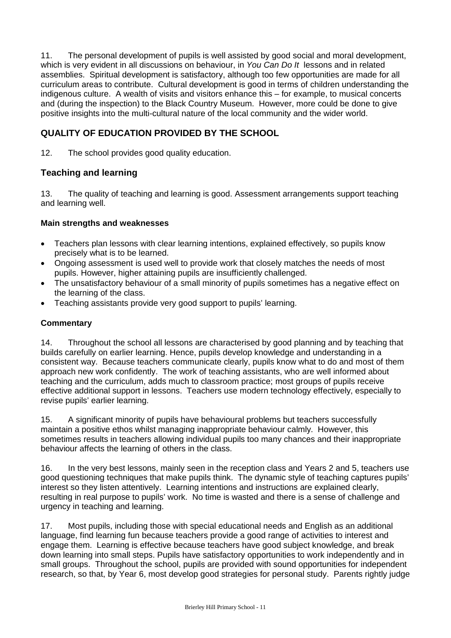11. The personal development of pupils is well assisted by good social and moral development, which is very evident in all discussions on behaviour, in *You Can Do It* lessons and in related assemblies. Spiritual development is satisfactory, although too few opportunities are made for all curriculum areas to contribute. Cultural development is good in terms of children understanding the indigenous culture. A wealth of visits and visitors enhance this – for example, to musical concerts and (during the inspection) to the Black Country Museum. However, more could be done to give positive insights into the multi-cultural nature of the local community and the wider world.

## **QUALITY OF EDUCATION PROVIDED BY THE SCHOOL**

12. The school provides good quality education.

## **Teaching and learning**

13. The quality of teaching and learning is good. Assessment arrangements support teaching and learning well.

#### **Main strengths and weaknesses**

- Teachers plan lessons with clear learning intentions, explained effectively, so pupils know precisely what is to be learned.
- Ongoing assessment is used well to provide work that closely matches the needs of most pupils. However, higher attaining pupils are insufficiently challenged.
- The unsatisfactory behaviour of a small minority of pupils sometimes has a negative effect on the learning of the class.
- Teaching assistants provide very good support to pupils' learning.

#### **Commentary**

14. Throughout the school all lessons are characterised by good planning and by teaching that builds carefully on earlier learning. Hence, pupils develop knowledge and understanding in a consistent way. Because teachers communicate clearly, pupils know what to do and most of them approach new work confidently. The work of teaching assistants, who are well informed about teaching and the curriculum, adds much to classroom practice; most groups of pupils receive effective additional support in lessons. Teachers use modern technology effectively, especially to revise pupils' earlier learning.

15. A significant minority of pupils have behavioural problems but teachers successfully maintain a positive ethos whilst managing inappropriate behaviour calmly. However, this sometimes results in teachers allowing individual pupils too many chances and their inappropriate behaviour affects the learning of others in the class.

16. In the very best lessons, mainly seen in the reception class and Years 2 and 5, teachers use good questioning techniques that make pupils think. The dynamic style of teaching captures pupils' interest so they listen attentively. Learning intentions and instructions are explained clearly, resulting in real purpose to pupils' work. No time is wasted and there is a sense of challenge and urgency in teaching and learning.

17. Most pupils, including those with special educational needs and English as an additional language, find learning fun because teachers provide a good range of activities to interest and engage them. Learning is effective because teachers have good subject knowledge, and break down learning into small steps. Pupils have satisfactory opportunities to work independently and in small groups. Throughout the school, pupils are provided with sound opportunities for independent research, so that, by Year 6, most develop good strategies for personal study. Parents rightly judge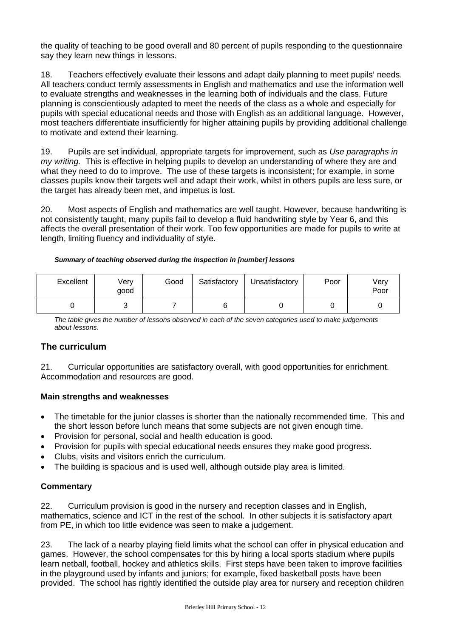the quality of teaching to be good overall and 80 percent of pupils responding to the questionnaire say they learn new things in lessons.

18. Teachers effectively evaluate their lessons and adapt daily planning to meet pupils' needs. All teachers conduct termly assessments in English and mathematics and use the information well to evaluate strengths and weaknesses in the learning both of individuals and the class. Future planning is conscientiously adapted to meet the needs of the class as a whole and especially for pupils with special educational needs and those with English as an additional language. However, most teachers differentiate insufficiently for higher attaining pupils by providing additional challenge to motivate and extend their learning.

19. Pupils are set individual, appropriate targets for improvement, such as *Use paragraphs in my writing.* This is effective in helping pupils to develop an understanding of where they are and what they need to do to improve.The use of these targets is inconsistent; for example, in some classes pupils know their targets well and adapt their work, whilst in others pupils are less sure, or the target has already been met, and impetus is lost.

20. Most aspects of English and mathematics are well taught. However, because handwriting is not consistently taught, many pupils fail to develop a fluid handwriting style by Year 6, and this affects the overall presentation of their work. Too few opportunities are made for pupils to write at length, limiting fluency and individuality of style.

#### *Summary of teaching observed during the inspection in [number] lessons*

| Excellent | Very<br>qood | Good | Satisfactory | Unsatisfactory | Poor | Very<br>Poor |
|-----------|--------------|------|--------------|----------------|------|--------------|
|           |              |      |              |                |      |              |

*The table gives the number of lessons observed in each of the seven categories used to make judgements about lessons.*

## **The curriculum**

21. Curricular opportunities are satisfactory overall, with good opportunities for enrichment. Accommodation and resources are good.

#### **Main strengths and weaknesses**

- The timetable for the junior classes is shorter than the nationally recommended time. This and the short lesson before lunch means that some subjects are not given enough time.
- Provision for personal, social and health education is good.
- Provision for pupils with special educational needs ensures they make good progress.
- Clubs, visits and visitors enrich the curriculum.
- The building is spacious and is used well, although outside play area is limited.

## **Commentary**

22. Curriculum provision is good in the nursery and reception classes and in English, mathematics, science and ICT in the rest of the school. In other subjects it is satisfactory apart from PE, in which too little evidence was seen to make a judgement.

23. The lack of a nearby playing field limits what the school can offer in physical education and games. However, the school compensates for this by hiring a local sports stadium where pupils learn netball, football, hockey and athletics skills. First steps have been taken to improve facilities in the playground used by infants and juniors; for example, fixed basketball posts have been provided. The school has rightly identified the outside play area for nursery and reception children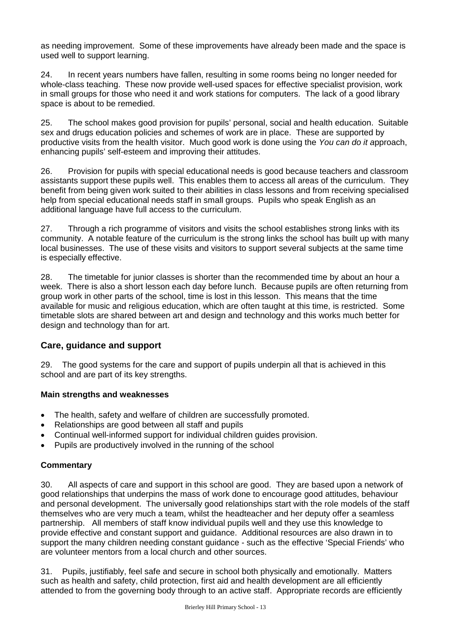as needing improvement. Some of these improvements have already been made and the space is used well to support learning.

24. In recent years numbers have fallen, resulting in some rooms being no longer needed for whole-class teaching. These now provide well-used spaces for effective specialist provision, work in small groups for those who need it and work stations for computers. The lack of a good library space is about to be remedied.

25. The school makes good provision for pupils' personal, social and health education. Suitable sex and drugs education policies and schemes of work are in place. These are supported by productive visits from the health visitor. Much good work is done using the *You can do it a*pproach, enhancing pupils' self-esteem and improving their attitudes.

26. Provision for pupils with special educational needs is good because teachers and classroom assistants support these pupils well. This enables them to access all areas of the curriculum. They benefit from being given work suited to their abilities in class lessons and from receiving specialised help from special educational needs staff in small groups. Pupils who speak English as an additional language have full access to the curriculum.

27. Through a rich programme of visitors and visits the school establishes strong links with its community. A notable feature of the curriculum is the strong links the school has built up with many local businesses. The use of these visits and visitors to support several subjects at the same time is especially effective.

28. The timetable for junior classes is shorter than the recommended time by about an hour a week. There is also a short lesson each day before lunch. Because pupils are often returning from group work in other parts of the school, time is lost in this lesson. This means that the time available for music and religious education, which are often taught at this time, is restricted. Some timetable slots are shared between art and design and technology and this works much better for design and technology than for art.

## **Care, guidance and support**

29. The good systems for the care and support of pupils underpin all that is achieved in this school and are part of its key strengths.

## **Main strengths and weaknesses**

- The health, safety and welfare of children are successfully promoted.
- Relationships are good between all staff and pupils
- Continual well-informed support for individual children guides provision.
- Pupils are productively involved in the running of the school

## **Commentary**

30. All aspects of care and support in this school are good. They are based upon a network of good relationships that underpins the mass of work done to encourage good attitudes, behaviour and personal development. The universally good relationships start with the role models of the staff themselves who are very much a team, whilst the headteacher and her deputy offer a seamless partnership. All members of staff know individual pupils well and they use this knowledge to provide effective and constant support and guidance. Additional resources are also drawn in to support the many children needing constant guidance - such as the effective 'Special Friends' who are volunteer mentors from a local church and other sources.

31. Pupils, justifiably, feel safe and secure in school both physically and emotionally. Matters such as health and safety, child protection, first aid and health development are all efficiently attended to from the governing body through to an active staff. Appropriate records are efficiently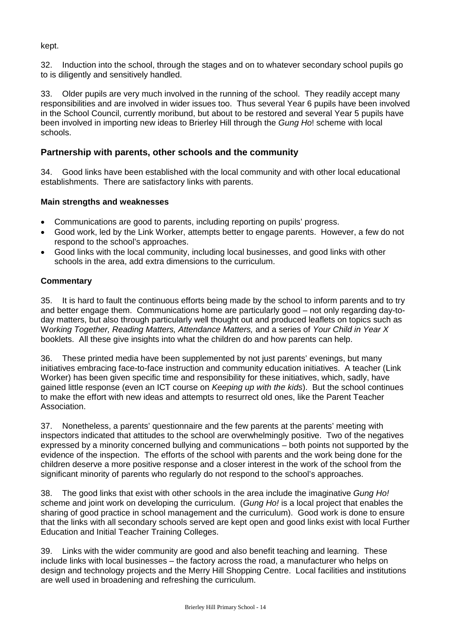kept.

32. Induction into the school, through the stages and on to whatever secondary school pupils go to is diligently and sensitively handled.

33. Older pupils are very much involved in the running of the school. They readily accept many responsibilities and are involved in wider issues too. Thus several Year 6 pupils have been involved in the School Council, currently moribund, but about to be restored and several Year 5 pupils have been involved in importing new ideas to Brierley Hill through the *Gung Ho*! scheme with local schools.

#### **Partnership with parents, other schools and the community**

34. Good links have been established with the local community and with other local educational establishments. There are satisfactory links with parents.

#### **Main strengths and weaknesses**

- Communications are good to parents, including reporting on pupils' progress.
- Good work, led by the Link Worker, attempts better to engage parents. However, a few do not respond to the school's approaches.
- Good links with the local community, including local businesses, and good links with other schools in the area, add extra dimensions to the curriculum.

#### **Commentary**

35. It is hard to fault the continuous efforts being made by the school to inform parents and to try and better engage them. Communications home are particularly good – not only regarding day-today matters, but also through particularly well thought out and produced leaflets on topics such as W*orking Together, Reading Matters, Attendance Matters,* and a series of *Your Child in Year X*  booklets. All these give insights into what the children do and how parents can help.

36. These printed media have been supplemented by not just parents' evenings, but many initiatives embracing face-to-face instruction and community education initiatives. A teacher (Link Worker) has been given specific time and responsibility for these initiatives, which, sadly, have gained little response (even an ICT course on *Keeping up with the kids*). But the school continues to make the effort with new ideas and attempts to resurrect old ones, like the Parent Teacher Association.

37. Nonetheless, a parents' questionnaire and the few parents at the parents' meeting with inspectors indicated that attitudes to the school are overwhelmingly positive. Two of the negatives expressed by a minority concerned bullying and communications – both points not supported by the evidence of the inspection. The efforts of the school with parents and the work being done for the children deserve a more positive response and a closer interest in the work of the school from the significant minority of parents who regularly do not respond to the school's approaches.

38. The good links that exist with other schools in the area include the imaginative *Gung Ho! s*cheme and joint work on developing the curriculum. (*Gung Ho!* is a local project that enables the sharing of good practice in school management and the curriculum). Good work is done to ensure that the links with all secondary schools served are kept open and good links exist with local Further Education and Initial Teacher Training Colleges.

39. Links with the wider community are good and also benefit teaching and learning. These include links with local businesses – the factory across the road, a manufacturer who helps on design and technology projects and the Merry Hill Shopping Centre. Local facilities and institutions are well used in broadening and refreshing the curriculum.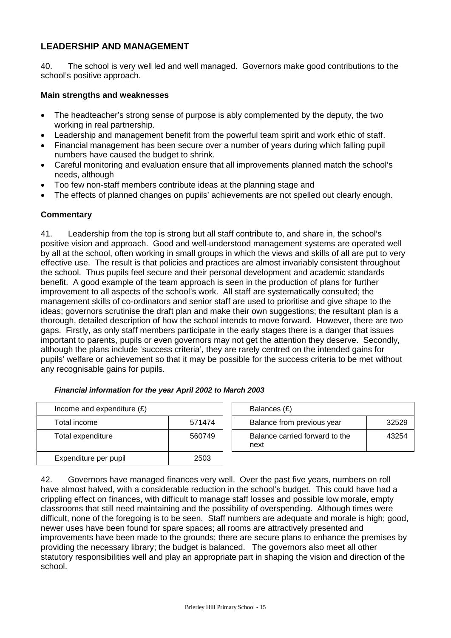## **LEADERSHIP AND MANAGEMENT**

40. The school is very well led and well managed. Governors make good contributions to the school's positive approach.

#### **Main strengths and weaknesses**

- The headteacher's strong sense of purpose is ably complemented by the deputy, the two working in real partnership.
- Leadership and management benefit from the powerful team spirit and work ethic of staff.
- Financial management has been secure over a number of years during which falling pupil numbers have caused the budget to shrink.
- Careful monitoring and evaluation ensure that all improvements planned match the school's needs, although
- Too few non-staff members contribute ideas at the planning stage and
- The effects of planned changes on pupils' achievements are not spelled out clearly enough.

#### **Commentary**

41. Leadership from the top is strong but all staff contribute to, and share in, the school's positive vision and approach. Good and well-understood management systems are operated well by all at the school, often working in small groups in which the views and skills of all are put to very effective use. The result is that policies and practices are almost invariably consistent throughout the school. Thus pupils feel secure and their personal development and academic standards benefit. A good example of the team approach is seen in the production of plans for further improvement to all aspects of the school's work. All staff are systematically consulted; the management skills of co-ordinators and senior staff are used to prioritise and give shape to the ideas; governors scrutinise the draft plan and make their own suggestions; the resultant plan is a thorough, detailed description of how the school intends to move forward. However, there are two gaps. Firstly, as only staff members participate in the early stages there is a danger that issues important to parents, pupils or even governors may not get the attention they deserve. Secondly, although the plans include 'success criteria'*,* they are rarely centred on the intended gains for pupils' welfare or achievement so that it may be possible for the success criteria to be met without any recognisable gains for pupils.

| Income and expenditure $(E)$ |        | Balances (£)                           |
|------------------------------|--------|----------------------------------------|
| Total income                 | 571474 | Balance from previous year             |
| Total expenditure            | 560749 | Balance carried forward to the<br>next |
| Expenditure per pupil        | 2503   |                                        |

| Income and expenditure $(E)$ |        | Balances (£)                           |       |
|------------------------------|--------|----------------------------------------|-------|
| Total income                 | 571474 | Balance from previous year             | 32529 |
| Total expenditure            | 560749 | Balance carried forward to the<br>next | 43254 |
|                              |        |                                        |       |

42. Governors have managed finances very well. Over the past five years, numbers on roll have almost halved, with a considerable reduction in the school's budget. This could have had a crippling effect on finances, with difficult to manage staff losses and possible low morale, empty classrooms that still need maintaining and the possibility of overspending. Although times were difficult, none of the foregoing is to be seen. Staff numbers are adequate and morale is high; good, newer uses have been found for spare spaces; all rooms are attractively presented and improvements have been made to the grounds; there are secure plans to enhance the premises by providing the necessary library; the budget is balanced. The governors also meet all other statutory responsibilities well and play an appropriate part in shaping the vision and direction of the school.

#### *Financial information for the year April 2002 to March 2003*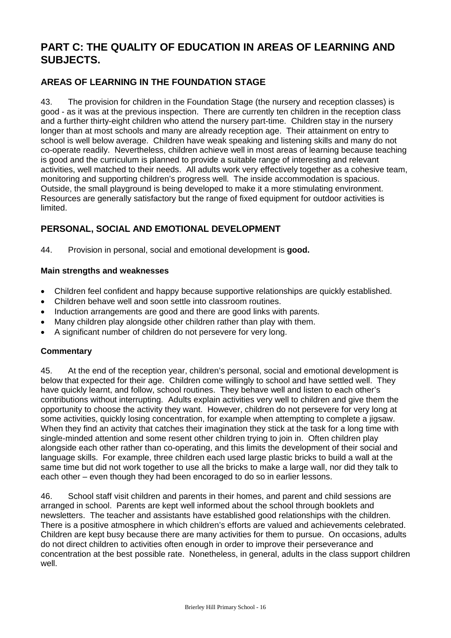# **PART C: THE QUALITY OF EDUCATION IN AREAS OF LEARNING AND SUBJECTS.**

## **AREAS OF LEARNING IN THE FOUNDATION STAGE**

43. The provision for children in the Foundation Stage (the nursery and reception classes) is good - as it was at the previous inspection. There are currently ten children in the reception class and a further thirty-eight children who attend the nursery part-time. Children stay in the nursery longer than at most schools and many are already reception age. Their attainment on entry to school is well below average. Children have weak speaking and listening skills and many do not co-operate readily. Nevertheless, children achieve well in most areas of learning because teaching is good and the curriculum is planned to provide a suitable range of interesting and relevant activities, well matched to their needs. All adults work very effectively together as a cohesive team, monitoring and supporting children's progress well. The inside accommodation is spacious. Outside, the small playground is being developed to make it a more stimulating environment. Resources are generally satisfactory but the range of fixed equipment for outdoor activities is limited.

## **PERSONAL, SOCIAL AND EMOTIONAL DEVELOPMENT**

44. Provision in personal, social and emotional development is **good.**

#### **Main strengths and weaknesses**

- Children feel confident and happy because supportive relationships are quickly established.
- Children behave well and soon settle into classroom routines.
- Induction arrangements are good and there are good links with parents.
- Many children play alongside other children rather than play with them.
- A significant number of children do not persevere for very long.

#### **Commentary**

45. At the end of the reception year, children's personal, social and emotional development is below that expected for their age. Children come willingly to school and have settled well. They have quickly learnt, and follow, school routines. They behave well and listen to each other's contributions without interrupting. Adults explain activities very well to children and give them the opportunity to choose the activity they want. However, children do not persevere for very long at some activities, quickly losing concentration, for example when attempting to complete a jigsaw. When they find an activity that catches their imagination they stick at the task for a long time with single-minded attention and some resent other children trying to join in. Often children play alongside each other rather than co-operating, and this limits the development of their social and language skills. For example, three children each used large plastic bricks to build a wall at the same time but did not work together to use all the bricks to make a large wall, nor did they talk to each other – even though they had been encoraged to do so in earlier lessons.

46. School staff visit children and parents in their homes, and parent and child sessions are arranged in school. Parents are kept well informed about the school through booklets and newsletters. The teacher and assistants have established good relationships with the children. There is a positive atmosphere in which children's efforts are valued and achievements celebrated. Children are kept busy because there are many activities for them to pursue. On occasions, adults do not direct children to activities often enough in order to improve their perseverance and concentration at the best possible rate. Nonetheless, in general, adults in the class support children well.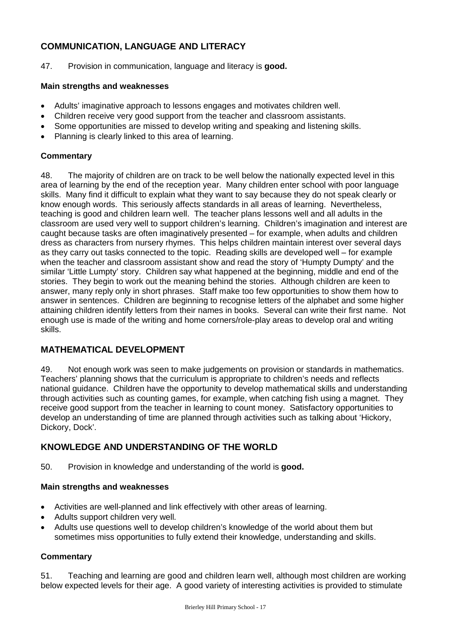## **COMMUNICATION, LANGUAGE AND LITERACY**

47. Provision in communication, language and literacy is **good.**

#### **Main strengths and weaknesses**

- Adults' imaginative approach to lessons engages and motivates children well.
- Children receive very good support from the teacher and classroom assistants.
- Some opportunities are missed to develop writing and speaking and listening skills.
- Planning is clearly linked to this area of learning.

#### **Commentary**

48. The majority of children are on track to be well below the nationally expected level in this area of learning by the end of the reception year. Many children enter school with poor language skills. Many find it difficult to explain what they want to say because they do not speak clearly or know enough words. This seriously affects standards in all areas of learning. Nevertheless, teaching is good and children learn well. The teacher plans lessons well and all adults in the classroom are used very well to support children's learning. Children's imagination and interest are caught because tasks are often imaginatively presented – for example, when adults and children dress as characters from nursery rhymes. This helps children maintain interest over several days as they carry out tasks connected to the topic. Reading skills are developed well – for example when the teacher and classroom assistant show and read the story of 'Humpty Dumpty' and the similar 'Little Lumpty' story. Children say what happened at the beginning, middle and end of the stories. They begin to work out the meaning behind the stories. Although children are keen to answer, many reply only in short phrases. Staff make too few opportunities to show them how to answer in sentences. Children are beginning to recognise letters of the alphabet and some higher attaining children identify letters from their names in books. Several can write their first name. Not enough use is made of the writing and home corners/role-play areas to develop oral and writing skills.

## **MATHEMATICAL DEVELOPMENT**

49. Not enough work was seen to make judgements on provision or standards in mathematics. Teachers' planning shows that the curriculum is appropriate to children's needs and reflects national guidance. Children have the opportunity to develop mathematical skills and understanding through activities such as counting games, for example, when catching fish using a magnet. They receive good support from the teacher in learning to count money. Satisfactory opportunities to develop an understanding of time are planned through activities such as talking about 'Hickory, Dickory, Dock'.

## **KNOWLEDGE AND UNDERSTANDING OF THE WORLD**

50. Provision in knowledge and understanding of the world is **good.**

#### **Main strengths and weaknesses**

- Activities are well-planned and link effectively with other areas of learning.
- Adults support children very well.
- Adults use questions well to develop children's knowledge of the world about them but sometimes miss opportunities to fully extend their knowledge, understanding and skills.

## **Commentary**

51. Teaching and learning are good and children learn well, although most children are working below expected levels for their age. A good variety of interesting activities is provided to stimulate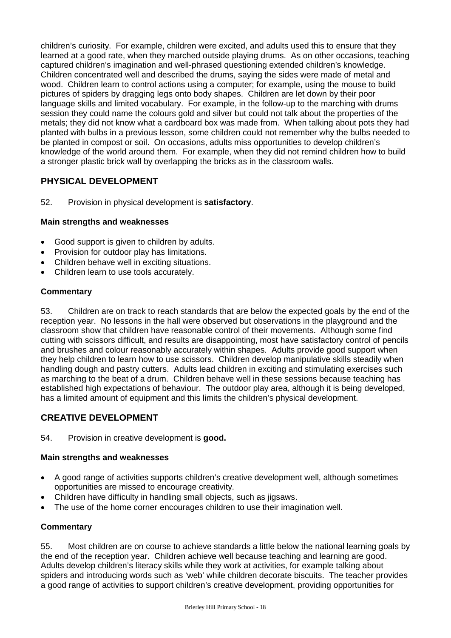children's curiosity. For example, children were excited, and adults used this to ensure that they learned at a good rate, when they marched outside playing drums. As on other occasions, teaching captured children's imagination and well-phrased questioning extended children's knowledge. Children concentrated well and described the drums, saying the sides were made of metal and wood. Children learn to control actions using a computer; for example, using the mouse to build pictures of spiders by dragging legs onto body shapes. Children are let down by their poor language skills and limited vocabulary. For example, in the follow-up to the marching with drums session they could name the colours gold and silver but could not talk about the properties of the metals; they did not know what a cardboard box was made from. When talking about pots they had planted with bulbs in a previous lesson, some children could not remember why the bulbs needed to be planted in compost or soil. On occasions, adults miss opportunities to develop children's knowledge of the world around them. For example, when they did not remind children how to build a stronger plastic brick wall by overlapping the bricks as in the classroom walls.

## **PHYSICAL DEVELOPMENT**

52. Provision in physical development is **satisfactory**.

## **Main strengths and weaknesses**

- Good support is given to children by adults.
- Provision for outdoor play has limitations.
- Children behave well in exciting situations.
- Children learn to use tools accurately.

#### **Commentary**

53. Children are on track to reach standards that are below the expected goals by the end of the reception year. No lessons in the hall were observed but observations in the playground and the classroom show that children have reasonable control of their movements. Although some find cutting with scissors difficult, and results are disappointing, most have satisfactory control of pencils and brushes and colour reasonably accurately within shapes. Adults provide good support when they help children to learn how to use scissors. Children develop manipulative skills steadily when handling dough and pastry cutters. Adults lead children in exciting and stimulating exercises such as marching to the beat of a drum. Children behave well in these sessions because teaching has established high expectations of behaviour. The outdoor play area, although it is being developed, has a limited amount of equipment and this limits the children's physical development.

## **CREATIVE DEVELOPMENT**

#### 54. Provision in creative development is **good.**

#### **Main strengths and weaknesses**

- A good range of activities supports children's creative development well, although sometimes opportunities are missed to encourage creativity.
- Children have difficulty in handling small objects, such as jigsaws.
- The use of the home corner encourages children to use their imagination well.

## **Commentary**

55. Most children are on course to achieve standards a little below the national learning goals by the end of the reception year. Children achieve well because teaching and learning are good. Adults develop children's literacy skills while they work at activities, for example talking about spiders and introducing words such as 'web' while children decorate biscuits. The teacher provides a good range of activities to support children's creative development, providing opportunities for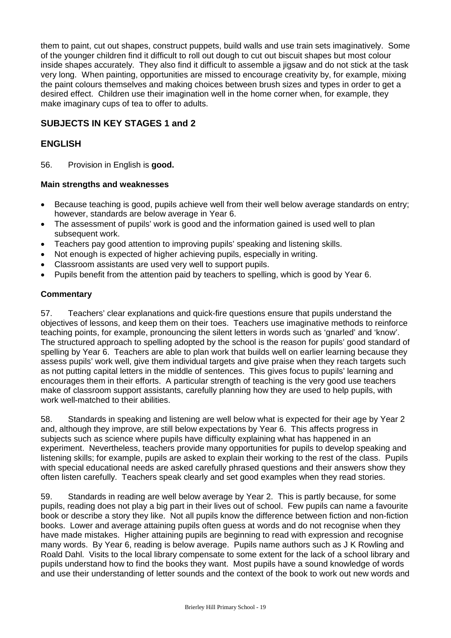them to paint, cut out shapes, construct puppets, build walls and use train sets imaginatively. Some of the younger children find it difficult to roll out dough to cut out biscuit shapes but most colour inside shapes accurately. They also find it difficult to assemble a jigsaw and do not stick at the task very long. When painting, opportunities are missed to encourage creativity by, for example, mixing the paint colours themselves and making choices between brush sizes and types in order to get a desired effect. Children use their imagination well in the home corner when, for example, they make imaginary cups of tea to offer to adults.

## **SUBJECTS IN KEY STAGES 1 and 2**

## **ENGLISH**

56. Provision in English is **good.**

#### **Main strengths and weaknesses**

- Because teaching is good, pupils achieve well from their well below average standards on entry; however, standards are below average in Year 6.
- The assessment of pupils' work is good and the information gained is used well to plan subsequent work.
- Teachers pay good attention to improving pupils' speaking and listening skills.
- Not enough is expected of higher achieving pupils, especially in writing.
- Classroom assistants are used very well to support pupils.
- Pupils benefit from the attention paid by teachers to spelling, which is good by Year 6.

#### **Commentary**

57. Teachers' clear explanations and quick-fire questions ensure that pupils understand the objectives of lessons, and keep them on their toes. Teachers use imaginative methods to reinforce teaching points, for example, pronouncing the silent letters in words such as 'gnarled' and 'know'. The structured approach to spelling adopted by the school is the reason for pupils' good standard of spelling by Year 6. Teachers are able to plan work that builds well on earlier learning because they assess pupils' work well, give them individual targets and give praise when they reach targets such as not putting capital letters in the middle of sentences. This gives focus to pupils' learning and encourages them in their efforts. A particular strength of teaching is the very good use teachers make of classroom support assistants, carefully planning how they are used to help pupils, with work well-matched to their abilities.

58. Standards in speaking and listening are well below what is expected for their age by Year 2 and, although they improve, are still below expectations by Year 6. This affects progress in subjects such as science where pupils have difficulty explaining what has happened in an experiment. Nevertheless, teachers provide many opportunities for pupils to develop speaking and listening skills; for example, pupils are asked to explain their working to the rest of the class. Pupils with special educational needs are asked carefully phrased questions and their answers show they often listen carefully. Teachers speak clearly and set good examples when they read stories.

59. Standards in reading are well below average by Year 2. This is partly because, for some pupils, reading does not play a big part in their lives out of school. Few pupils can name a favourite book or describe a story they like. Not all pupils know the difference between fiction and non-fiction books. Lower and average attaining pupils often guess at words and do not recognise when they have made mistakes. Higher attaining pupils are beginning to read with expression and recognise many words. By Year 6, reading is below average. Pupils name authors such as J K Rowling and Roald Dahl. Visits to the local library compensate to some extent for the lack of a school library and pupils understand how to find the books they want. Most pupils have a sound knowledge of words and use their understanding of letter sounds and the context of the book to work out new words and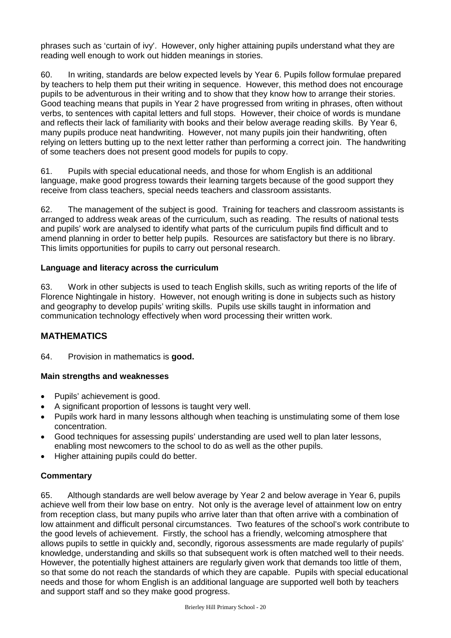phrases such as 'curtain of ivy'. However, only higher attaining pupils understand what they are reading well enough to work out hidden meanings in stories.

60. In writing, standards are below expected levels by Year 6. Pupils follow formulae prepared by teachers to help them put their writing in sequence. However, this method does not encourage pupils to be adventurous in their writing and to show that they know how to arrange their stories. Good teaching means that pupils in Year 2 have progressed from writing in phrases, often without verbs, to sentences with capital letters and full stops. However, their choice of words is mundane and reflects their lack of familiarity with books and their below average reading skills. By Year 6, many pupils produce neat handwriting. However, not many pupils join their handwriting, often relying on letters butting up to the next letter rather than performing a correct join. The handwriting of some teachers does not present good models for pupils to copy.

61. Pupils with special educational needs, and those for whom English is an additional language, make good progress towards their learning targets because of the good support they receive from class teachers, special needs teachers and classroom assistants.

62. The management of the subject is good. Training for teachers and classroom assistants is arranged to address weak areas of the curriculum, such as reading. The results of national tests and pupils' work are analysed to identify what parts of the curriculum pupils find difficult and to amend planning in order to better help pupils. Resources are satisfactory but there is no library. This limits opportunities for pupils to carry out personal research.

#### **Language and literacy across the curriculum**

63. Work in other subjects is used to teach English skills, such as writing reports of the life of Florence Nightingale in history. However, not enough writing is done in subjects such as history and geography to develop pupils' writing skills. Pupils use skills taught in information and communication technology effectively when word processing their written work.

## **MATHEMATICS**

64. Provision in mathematics is **good.**

#### **Main strengths and weaknesses**

- Pupils' achievement is good.
- A significant proportion of lessons is taught very well.
- Pupils work hard in many lessons although when teaching is unstimulating some of them lose concentration.
- Good techniques for assessing pupils' understanding are used well to plan later lessons, enabling most newcomers to the school to do as well as the other pupils.
- Higher attaining pupils could do better.

## **Commentary**

65. Although standards are well below average by Year 2 and below average in Year 6, pupils achieve well from their low base on entry. Not only is the average level of attainment low on entry from reception class, but many pupils who arrive later than that often arrive with a combination of low attainment and difficult personal circumstances. Two features of the school's work contribute to the good levels of achievement. Firstly, the school has a friendly, welcoming atmosphere that allows pupils to settle in quickly and, secondly, rigorous assessments are made regularly of pupils' knowledge, understanding and skills so that subsequent work is often matched well to their needs. However, the potentially highest attainers are regularly given work that demands too little of them, so that some do not reach the standards of which they are capable. Pupils with special educational needs and those for whom English is an additional language are supported well both by teachers and support staff and so they make good progress.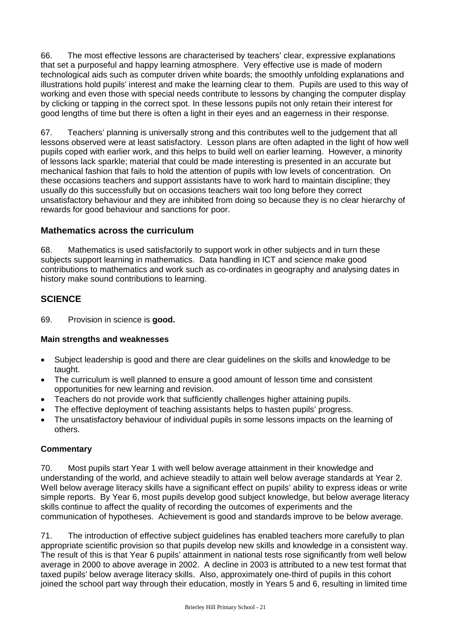66. The most effective lessons are characterised by teachers' clear, expressive explanations that set a purposeful and happy learning atmosphere. Very effective use is made of modern technological aids such as computer driven white boards; the smoothly unfolding explanations and illustrations hold pupils' interest and make the learning clear to them. Pupils are used to this way of working and even those with special needs contribute to lessons by changing the computer display by clicking or tapping in the correct spot. In these lessons pupils not only retain their interest for good lengths of time but there is often a light in their eyes and an eagerness in their response.

67. Teachers' planning is universally strong and this contributes well to the judgement that all lessons observed were at least satisfactory. Lesson plans are often adapted in the light of how well pupils coped with earlier work, and this helps to build well on earlier learning. However, a minority of lessons lack sparkle; material that could be made interesting is presented in an accurate but mechanical fashion that fails to hold the attention of pupils with low levels of concentration. On these occasions teachers and support assistants have to work hard to maintain discipline; they usually do this successfully but on occasions teachers wait too long before they correct unsatisfactory behaviour and they are inhibited from doing so because they is no clear hierarchy of rewards for good behaviour and sanctions for poor.

## **Mathematics across the curriculum**

68. Mathematics is used satisfactorily to support work in other subjects and in turn these subjects support learning in mathematics. Data handling in ICT and science make good contributions to mathematics and work such as co-ordinates in geography and analysing dates in history make sound contributions to learning.

## **SCIENCE**

69. Provision in science is **good.**

#### **Main strengths and weaknesses**

- Subject leadership is good and there are clear guidelines on the skills and knowledge to be taught.
- The curriculum is well planned to ensure a good amount of lesson time and consistent opportunities for new learning and revision.
- Teachers do not provide work that sufficiently challenges higher attaining pupils.
- The effective deployment of teaching assistants helps to hasten pupils' progress.
- The unsatisfactory behaviour of individual pupils in some lessons impacts on the learning of others.

## **Commentary**

70. Most pupils start Year 1 with well below average attainment in their knowledge and understanding of the world, and achieve steadily to attain well below average standards at Year 2. Well below average literacy skills have a significant effect on pupils' ability to express ideas or write simple reports. By Year 6, most pupils develop good subject knowledge, but below average literacy skills continue to affect the quality of recording the outcomes of experiments and the communication of hypotheses. Achievement is good and standards improve to be below average.

71. The introduction of effective subject guidelines has enabled teachers more carefully to plan appropriate scientific provision so that pupils develop new skills and knowledge in a consistent way. The result of this is that Year 6 pupils' attainment in national tests rose significantly from well below average in 2000 to above average in 2002. A decline in 2003 is attributed to a new test format that taxed pupils' below average literacy skills. Also, approximately one-third of pupils in this cohort joined the school part way through their education, mostly in Years 5 and 6, resulting in limited time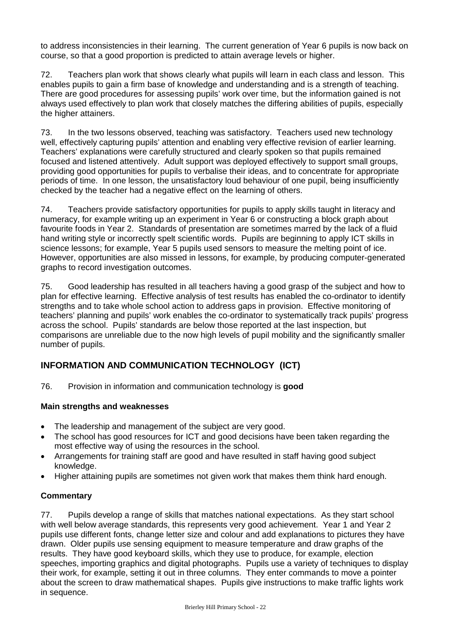to address inconsistencies in their learning. The current generation of Year 6 pupils is now back on course, so that a good proportion is predicted to attain average levels or higher.

72. Teachers plan work that shows clearly what pupils will learn in each class and lesson. This enables pupils to gain a firm base of knowledge and understanding and is a strength of teaching. There are good procedures for assessing pupils' work over time, but the information gained is not always used effectively to plan work that closely matches the differing abilities of pupils, especially the higher attainers.

73. In the two lessons observed, teaching was satisfactory. Teachers used new technology well, effectively capturing pupils' attention and enabling very effective revision of earlier learning. Teachers' explanations were carefully structured and clearly spoken so that pupils remained focused and listened attentively. Adult support was deployed effectively to support small groups, providing good opportunities for pupils to verbalise their ideas, and to concentrate for appropriate periods of time. In one lesson, the unsatisfactory loud behaviour of one pupil, being insufficiently checked by the teacher had a negative effect on the learning of others.

74. Teachers provide satisfactory opportunities for pupils to apply skills taught in literacy and numeracy, for example writing up an experiment in Year 6 or constructing a block graph about favourite foods in Year 2. Standards of presentation are sometimes marred by the lack of a fluid hand writing style or incorrectly spelt scientific words. Pupils are beginning to apply ICT skills in science lessons; for example, Year 5 pupils used sensors to measure the melting point of ice. However, opportunities are also missed in lessons, for example, by producing computer-generated graphs to record investigation outcomes.

75. Good leadership has resulted in all teachers having a good grasp of the subject and how to plan for effective learning. Effective analysis of test results has enabled the co-ordinator to identify strengths and to take whole school action to address gaps in provision. Effective monitoring of teachers' planning and pupils' work enables the co-ordinator to systematically track pupils' progress across the school. Pupils' standards are below those reported at the last inspection, but comparisons are unreliable due to the now high levels of pupil mobility and the significantly smaller number of pupils.

## **INFORMATION AND COMMUNICATION TECHNOLOGY (ICT)**

76. Provision in information and communication technology is **good**

#### **Main strengths and weaknesses**

- The leadership and management of the subject are very good.
- The school has good resources for ICT and good decisions have been taken regarding the most effective way of using the resources in the school.
- Arrangements for training staff are good and have resulted in staff having good subject knowledge.
- Higher attaining pupils are sometimes not given work that makes them think hard enough.

#### **Commentary**

77. Pupils develop a range of skills that matches national expectations. As they start school with well below average standards, this represents very good achievement. Year 1 and Year 2 pupils use different fonts, change letter size and colour and add explanations to pictures they have drawn. Older pupils use sensing equipment to measure temperature and draw graphs of the results. They have good keyboard skills, which they use to produce, for example, election speeches, importing graphics and digital photographs. Pupils use a variety of techniques to display their work, for example, setting it out in three columns. They enter commands to move a pointer about the screen to draw mathematical shapes. Pupils give instructions to make traffic lights work in sequence.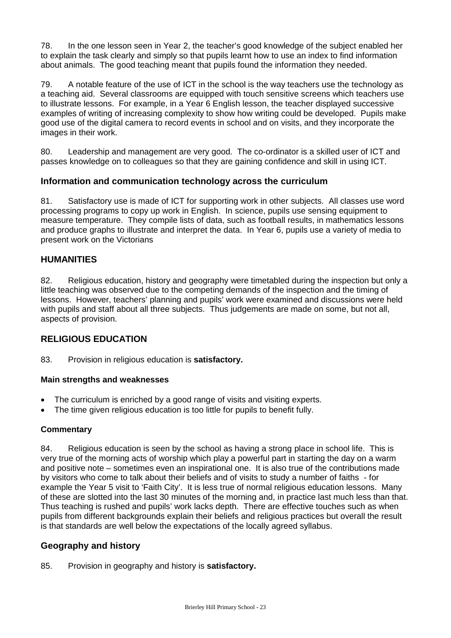78. In the one lesson seen in Year 2, the teacher's good knowledge of the subject enabled her to explain the task clearly and simply so that pupils learnt how to use an index to find information about animals. The good teaching meant that pupils found the information they needed.

79. A notable feature of the use of ICT in the school is the way teachers use the technology as a teaching aid. Several classrooms are equipped with touch sensitive screens which teachers use to illustrate lessons. For example, in a Year 6 English lesson, the teacher displayed successive examples of writing of increasing complexity to show how writing could be developed. Pupils make good use of the digital camera to record events in school and on visits, and they incorporate the images in their work.

80. Leadership and management are very good. The co-ordinator is a skilled user of ICT and passes knowledge on to colleagues so that they are gaining confidence and skill in using ICT.

## **Information and communication technology across the curriculum**

81. Satisfactory use is made of ICT for supporting work in other subjects. All classes use word processing programs to copy up work in English. In science, pupils use sensing equipment to measure temperature. They compile lists of data, such as football results, in mathematics lessons and produce graphs to illustrate and interpret the data. In Year 6, pupils use a variety of media to present work on the Victorians

## **HUMANITIES**

82. Religious education, history and geography were timetabled during the inspection but only a little teaching was observed due to the competing demands of the inspection and the timing of lessons. However, teachers' planning and pupils' work were examined and discussions were held with pupils and staff about all three subjects. Thus judgements are made on some, but not all, aspects of provision.

## **RELIGIOUS EDUCATION**

83. Provision in religious education is **satisfactory.**

#### **Main strengths and weaknesses**

- The curriculum is enriched by a good range of visits and visiting experts.
- The time given religious education is too little for pupils to benefit fully.

#### **Commentary**

84. Religious education is seen by the school as having a strong place in school life. This is very true of the morning acts of worship which play a powerful part in starting the day on a warm and positive note – sometimes even an inspirational one. It is also true of the contributions made by visitors who come to talk about their beliefs and of visits to study a number of faiths - for example the Year 5 visit to 'Faith City'. It is less true of normal religious education lessons. Many of these are slotted into the last 30 minutes of the morning and, in practice last much less than that. Thus teaching is rushed and pupils' work lacks depth. There are effective touches such as when pupils from different backgrounds explain their beliefs and religious practices but overall the result is that standards are well below the expectations of the locally agreed syllabus.

## **Geography and history**

85. Provision in geography and history is **satisfactory.**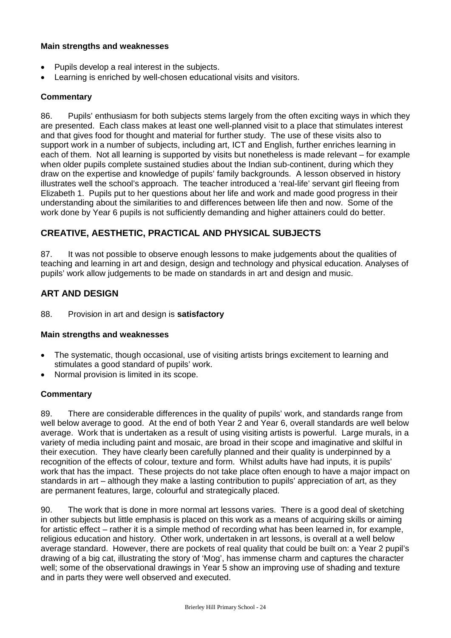#### **Main strengths and weaknesses**

- Pupils develop a real interest in the subjects.
- Learning is enriched by well-chosen educational visits and visitors.

#### **Commentary**

86. Pupils' enthusiasm for both subjects stems largely from the often exciting ways in which they are presented. Each class makes at least one well-planned visit to a place that stimulates interest and that gives food for thought and material for further study. The use of these visits also to support work in a number of subjects, including art, ICT and English, further enriches learning in each of them. Not all learning is supported by visits but nonetheless is made relevant – for example when older pupils complete sustained studies about the Indian sub-continent, during which they draw on the expertise and knowledge of pupils' family backgrounds. A lesson observed in history illustrates well the school's approach. The teacher introduced a 'real-life' servant girl fleeing from Elizabeth 1. Pupils put to her questions about her life and work and made good progress in their understanding about the similarities to and differences between life then and now. Some of the work done by Year 6 pupils is not sufficiently demanding and higher attainers could do better.

## **CREATIVE, AESTHETIC, PRACTICAL AND PHYSICAL SUBJECTS**

87. It was not possible to observe enough lessons to make judgements about the qualities of teaching and learning in art and design, design and technology and physical education. Analyses of pupils' work allow judgements to be made on standards in art and design and music.

## **ART AND DESIGN**

88. Provision in art and design is **satisfactory**

#### **Main strengths and weaknesses**

- The systematic, though occasional, use of visiting artists brings excitement to learning and stimulates a good standard of pupils' work.
- Normal provision is limited in its scope.

#### **Commentary**

89. There are considerable differences in the quality of pupils' work, and standards range from well below average to good. At the end of both Year 2 and Year 6, overall standards are well below average. Work that is undertaken as a result of using visiting artists is powerful. Large murals, in a variety of media including paint and mosaic, are broad in their scope and imaginative and skilful in their execution. They have clearly been carefully planned and their quality is underpinned by a recognition of the effects of colour, texture and form. Whilst adults have had inputs, it is pupils' work that has the impact. These projects do not take place often enough to have a major impact on standards in art – although they make a lasting contribution to pupils' appreciation of art, as they are permanent features, large, colourful and strategically placed.

90. The work that is done in more normal art lessons varies. There is a good deal of sketching in other subjects but little emphasis is placed on this work as a means of acquiring skills or aiming for artistic effect – rather it is a simple method of recording what has been learned in, for example, religious education and history. Other work, undertaken in art lessons, is overall at a well below average standard. However, there are pockets of real quality that could be built on: a Year 2 pupil's drawing of a big cat, illustrating the story of 'Mog', has immense charm and captures the character well; some of the observational drawings in Year 5 show an improving use of shading and texture and in parts they were well observed and executed.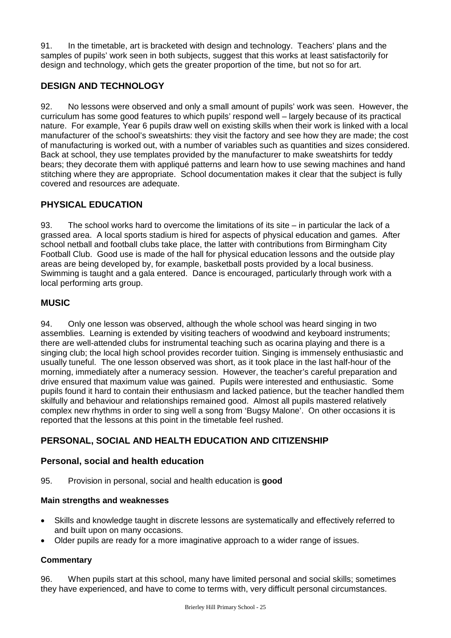91. In the timetable, art is bracketed with design and technology. Teachers' plans and the samples of pupils' work seen in both subjects, suggest that this works at least satisfactorily for design and technology, which gets the greater proportion of the time, but not so for art.

## **DESIGN AND TECHNOLOGY**

92. No lessons were observed and only a small amount of pupils' work was seen. However, the curriculum has some good features to which pupils' respond well – largely because of its practical nature. For example, Year 6 pupils draw well on existing skills when their work is linked with a local manufacturer of the school's sweatshirts: they visit the factory and see how they are made; the cost of manufacturing is worked out, with a number of variables such as quantities and sizes considered. Back at school, they use templates provided by the manufacturer to make sweatshirts for teddy bears; they decorate them with appliqué patterns and learn how to use sewing machines and hand stitching where they are appropriate. School documentation makes it clear that the subject is fully covered and resources are adequate.

## **PHYSICAL EDUCATION**

93. The school works hard to overcome the limitations of its site – in particular the lack of a grassed area. A local sports stadium is hired for aspects of physical education and games. After school netball and football clubs take place, the latter with contributions from Birmingham City Football Club. Good use is made of the hall for physical education lessons and the outside play areas are being developed by, for example, basketball posts provided by a local business. Swimming is taught and a gala entered. Dance is encouraged, particularly through work with a local performing arts group.

## **MUSIC**

94. Only one lesson was observed, although the whole school was heard singing in two assemblies. Learning is extended by visiting teachers of woodwind and keyboard instruments; there are well-attended clubs for instrumental teaching such as ocarina playing and there is a singing club; the local high school provides recorder tuition. Singing is immensely enthusiastic and usually tuneful. The one lesson observed was short, as it took place in the last half-hour of the morning, immediately after a numeracy session. However, the teacher's careful preparation and drive ensured that maximum value was gained. Pupils were interested and enthusiastic. Some pupils found it hard to contain their enthusiasm and lacked patience, but the teacher handled them skilfully and behaviour and relationships remained good. Almost all pupils mastered relatively complex new rhythms in order to sing well a song from 'Bugsy Malone'. On other occasions it is reported that the lessons at this point in the timetable feel rushed.

## **PERSONAL, SOCIAL AND HEALTH EDUCATION AND CITIZENSHIP**

## **Personal, social and health education**

95. Provision in personal, social and health education is **good**

## **Main strengths and weaknesses**

- Skills and knowledge taught in discrete lessons are systematically and effectively referred to and built upon on many occasions.
- Older pupils are ready for a more imaginative approach to a wider range of issues.

## **Commentary**

96. When pupils start at this school, many have limited personal and social skills; sometimes they have experienced, and have to come to terms with, very difficult personal circumstances.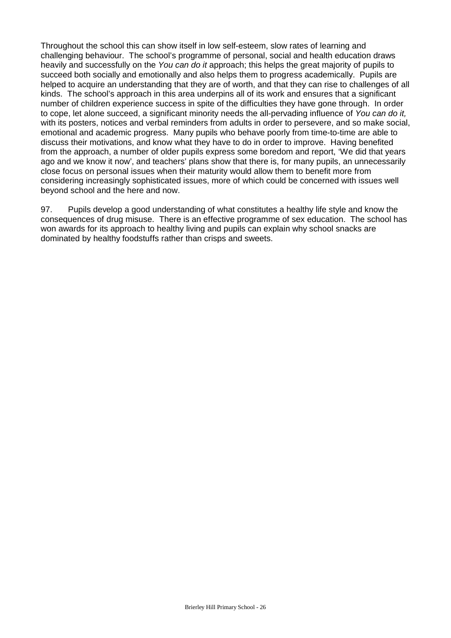Throughout the school this can show itself in low self-esteem, slow rates of learning and challenging behaviour. The school's programme of personal, social and health education draws heavily and successfully on the *You can do it* approach; this helps the great majority of pupils to succeed both socially and emotionally and also helps them to progress academically. Pupils are helped to acquire an understanding that they are of worth, and that they can rise to challenges of all kinds. The school's approach in this area underpins all of its work and ensures that a significant number of children experience success in spite of the difficulties they have gone through. In order to cope, let alone succeed, a significant minority needs the all-pervading influence of *You can do it,*  with its posters, notices and verbal reminders from adults in order to persevere, and so make social, emotional and academic progress. Many pupils who behave poorly from time-to-time are able to discuss their motivations, and know what they have to do in order to improve. Having benefited from the approach, a number of older pupils express some boredom and report, 'We did that years ago and we know it now', and teachers' plans show that there is, for many pupils, an unnecessarily close focus on personal issues when their maturity would allow them to benefit more from considering increasingly sophisticated issues, more of which could be concerned with issues well beyond school and the here and now.

97. Pupils develop a good understanding of what constitutes a healthy life style and know the consequences of drug misuse. There is an effective programme of sex education. The school has won awards for its approach to healthy living and pupils can explain why school snacks are dominated by healthy foodstuffs rather than crisps and sweets.